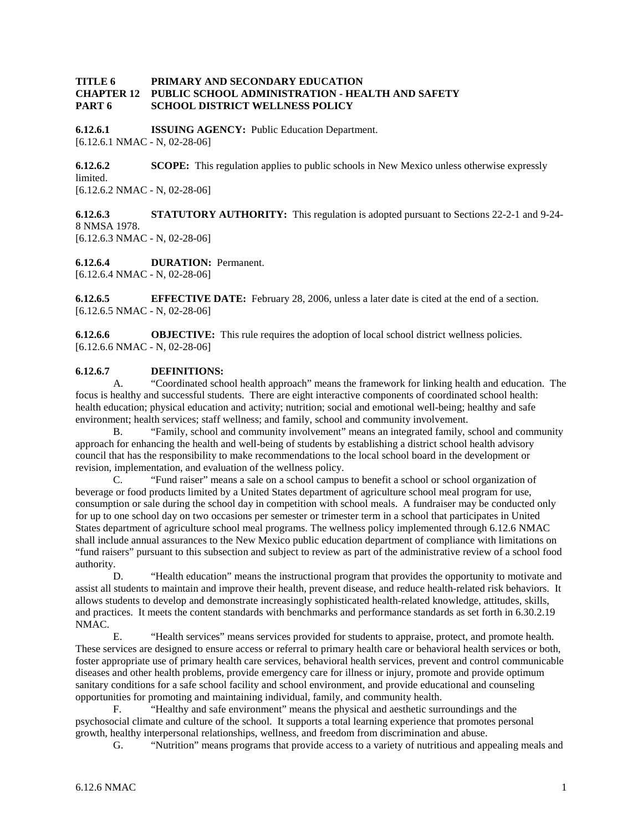## **TITLE 6 PRIMARY AND SECONDARY EDUCATION CHAPTER 12 PUBLIC SCHOOL ADMINISTRATION - HEALTH AND SAFETY PART 6 SCHOOL DISTRICT WELLNESS POLICY**

**6.12.6.1 ISSUING AGENCY:** Public Education Department. [6.12.6.1 NMAC - N, 02-28-06]

**6.12.6.2 SCOPE:** This regulation applies to public schools in New Mexico unless otherwise expressly limited. [6.12.6.2 NMAC - N, 02-28-06]

**6.12.6.3 STATUTORY AUTHORITY:** This regulation is adopted pursuant to Sections 22-2-1 and 9-24- 8 NMSA 1978. [6.12.6.3 NMAC - N, 02-28-06]

**6.12.6.4 DURATION:** Permanent. [6.12.6.4 NMAC - N, 02-28-06]

**6.12.6.5 EFFECTIVE DATE:** February 28, 2006, unless a later date is cited at the end of a section. [6.12.6.5 NMAC - N, 02-28-06]

**6.12.6.6 OBJECTIVE:** This rule requires the adoption of local school district wellness policies. [6.12.6.6 NMAC - N, 02-28-06]

## **6.12.6.7 DEFINITIONS:**

A. "Coordinated school health approach" means the framework for linking health and education. The focus is healthy and successful students. There are eight interactive components of coordinated school health: health education; physical education and activity; nutrition; social and emotional well-being; healthy and safe environment; health services; staff wellness; and family, school and community involvement.

B. "Family, school and community involvement" means an integrated family, school and community approach for enhancing the health and well-being of students by establishing a district school health advisory council that has the responsibility to make recommendations to the local school board in the development or revision, implementation, and evaluation of the wellness policy.

C. "Fund raiser" means a sale on a school campus to benefit a school or school organization of beverage or food products limited by a United States department of agriculture school meal program for use, consumption or sale during the school day in competition with school meals. A fundraiser may be conducted only for up to one school day on two occasions per semester or trimester term in a school that participates in United States department of agriculture school meal programs. The wellness policy implemented through 6.12.6 NMAC shall include annual assurances to the New Mexico public education department of compliance with limitations on "fund raisers" pursuant to this subsection and subject to review as part of the administrative review of a school food authority.

D. "Health education" means the instructional program that provides the opportunity to motivate and assist all students to maintain and improve their health, prevent disease, and reduce health-related risk behaviors. It allows students to develop and demonstrate increasingly sophisticated health-related knowledge, attitudes, skills, and practices. It meets the content standards with benchmarks and performance standards as set forth in 6.30.2.19 NMAC.

E. "Health services" means services provided for students to appraise, protect, and promote health. These services are designed to ensure access or referral to primary health care or behavioral health services or both, foster appropriate use of primary health care services, behavioral health services, prevent and control communicable diseases and other health problems, provide emergency care for illness or injury, promote and provide optimum sanitary conditions for a safe school facility and school environment, and provide educational and counseling opportunities for promoting and maintaining individual, family, and community health.

F. "Healthy and safe environment" means the physical and aesthetic surroundings and the psychosocial climate and culture of the school. It supports a total learning experience that promotes personal growth, healthy interpersonal relationships, wellness, and freedom from discrimination and abuse.

G. "Nutrition" means programs that provide access to a variety of nutritious and appealing meals and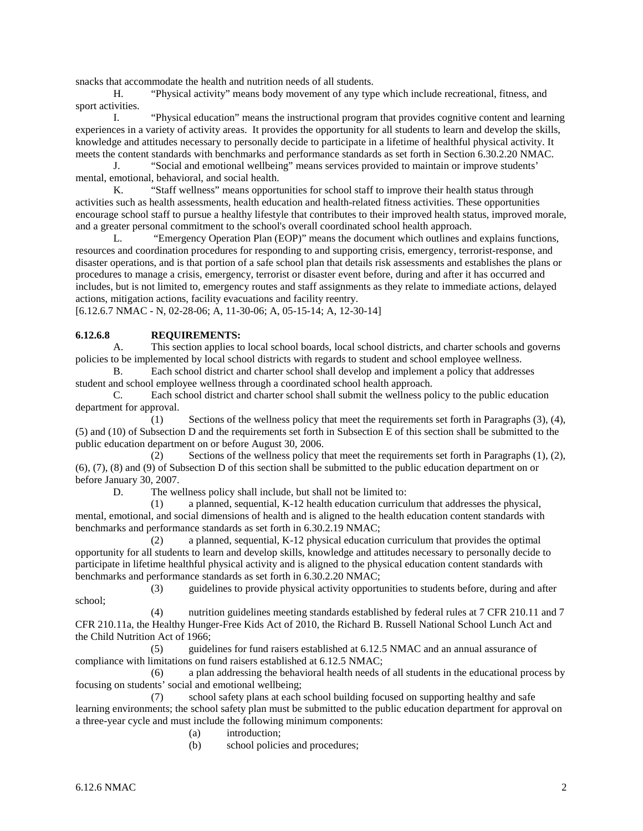snacks that accommodate the health and nutrition needs of all students.

H. "Physical activity" means body movement of any type which include recreational, fitness, and sport activities.

I. "Physical education" means the instructional program that provides cognitive content and learning experiences in a variety of activity areas. It provides the opportunity for all students to learn and develop the skills, knowledge and attitudes necessary to personally decide to participate in a lifetime of healthful physical activity. It meets the content standards with benchmarks and performance standards as set forth in Section 6.30.2.20 NMAC.

J. "Social and emotional wellbeing" means services provided to maintain or improve students' mental, emotional, behavioral, and social health.

K. "Staff wellness" means opportunities for school staff to improve their health status through activities such as health assessments, health education and health-related fitness activities. These opportunities encourage school staff to pursue a healthy lifestyle that contributes to their improved health status, improved morale, and a greater personal commitment to the school's overall coordinated school health approach.

L. "Emergency Operation Plan (EOP)" means the document which outlines and explains functions, resources and coordination procedures for responding to and supporting crisis, emergency, terrorist-response, and disaster operations, and is that portion of a safe school plan that details risk assessments and establishes the plans or procedures to manage a crisis, emergency, terrorist or disaster event before, during and after it has occurred and includes, but is not limited to, emergency routes and staff assignments as they relate to immediate actions, delayed actions, mitigation actions, facility evacuations and facility reentry.

[6.12.6.7 NMAC - N, 02-28-06; A, 11-30-06; A, 05-15-14; A, 12-30-14]

## **6.12.6.8 REQUIREMENTS:**<br>A. This section applies to

This section applies to local school boards, local school districts, and charter schools and governs policies to be implemented by local school districts with regards to student and school employee wellness.

B. Each school district and charter school shall develop and implement a policy that addresses student and school employee wellness through a coordinated school health approach.

C. Each school district and charter school shall submit the wellness policy to the public education department for approval.

(1) Sections of the wellness policy that meet the requirements set forth in Paragraphs (3), (4), (5) and (10) of Subsection D and the requirements set forth in Subsection E of this section shall be submitted to the public education department on or before August 30, 2006.

(2) Sections of the wellness policy that meet the requirements set forth in Paragraphs (1), (2), (6), (7), (8) and (9) of Subsection D of this section shall be submitted to the public education department on or before January 30, 2007.<br>D. The we

The wellness policy shall include, but shall not be limited to:

(1) a planned, sequential, K-12 health education curriculum that addresses the physical, mental, emotional, and social dimensions of health and is aligned to the health education content standards with benchmarks and performance standards as set forth in 6.30.2.19 NMAC;

(2) a planned, sequential, K-12 physical education curriculum that provides the optimal opportunity for all students to learn and develop skills, knowledge and attitudes necessary to personally decide to participate in lifetime healthful physical activity and is aligned to the physical education content standards with benchmarks and performance standards as set forth in 6.30.2.20 NMAC;

(3) guidelines to provide physical activity opportunities to students before, during and after school;

(4) nutrition guidelines meeting standards established by federal rules at 7 CFR 210.11 and 7 CFR 210.11a, the Healthy Hunger-Free Kids Act of 2010, the Richard B. Russell National School Lunch Act and the Child Nutrition Act of 1966;

(5) guidelines for fund raisers established at 6.12.5 NMAC and an annual assurance of compliance with limitations on fund raisers established at 6.12.5 NMAC;

(6) a plan addressing the behavioral health needs of all students in the educational process by focusing on students' social and emotional wellbeing;

(7) school safety plans at each school building focused on supporting healthy and safe learning environments; the school safety plan must be submitted to the public education department for approval on a three-year cycle and must include the following minimum components:

(a) introduction;

(b) school policies and procedures;